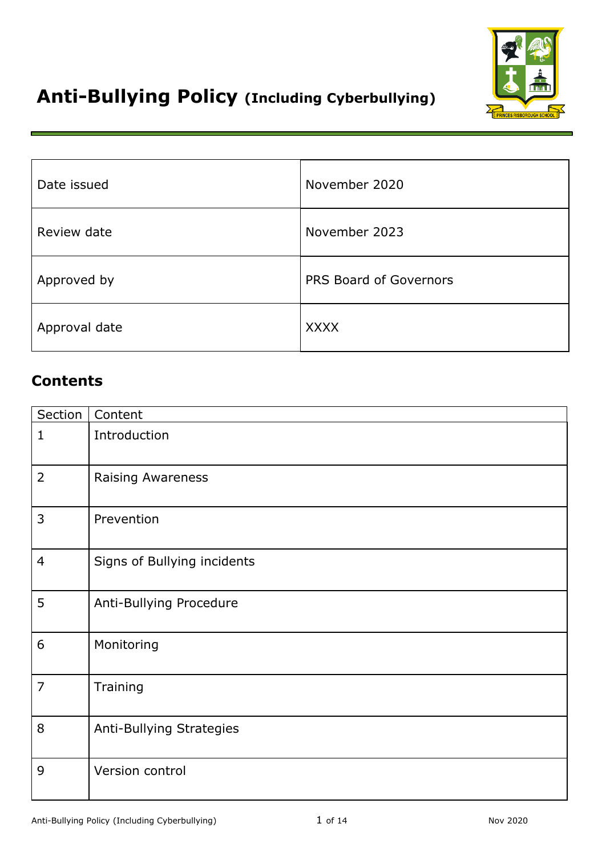

# **Anti-Bullying Policy (Including Cyberbullying)**

| Date issued   | November 2020          |
|---------------|------------------------|
| Review date   | November 2023          |
| Approved by   | PRS Board of Governors |
| Approval date | <b>XXXX</b>            |

# **Contents**

| Section        | Content                     |
|----------------|-----------------------------|
| $\mathbf 1$    | Introduction                |
| 2              | <b>Raising Awareness</b>    |
| 3              | Prevention                  |
| 4              | Signs of Bullying incidents |
| 5              | Anti-Bullying Procedure     |
| 6              | Monitoring                  |
| $\overline{7}$ | Training                    |
| 8              | Anti-Bullying Strategies    |
| 9              | Version control             |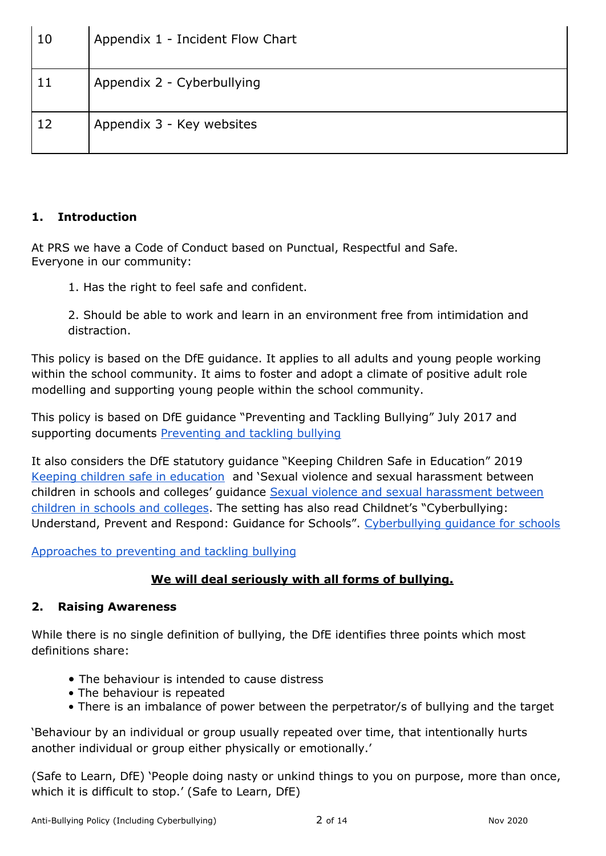| 10 | Appendix 1 - Incident Flow Chart |
|----|----------------------------------|
| 11 | Appendix 2 - Cyberbullying       |
| 12 | Appendix 3 - Key websites        |

### **1. Introduction**

At PRS we have a Code of Conduct based on Punctual, Respectful and Safe. Everyone in our community:

1. Has the right to feel safe and confident.

2. Should be able to work and learn in an environment free from intimidation and distraction.

This policy is based on the DfE guidance. It applies to all adults and young people working within the school community. It aims to foster and adopt a climate of positive adult role modelling and supporting young people within the school community.

This policy is based on DfE guidance "Preventing and Tackling Bullying" July 2017 and supporting document[s](https://assets.publishing.service.gov.uk/government/uploads/system/uploads/attachment_data/file/623895/Preventing_and_tackling_bullying_advice.pdf) [Preventing and tackling bullying](https://assets.publishing.service.gov.uk/government/uploads/system/uploads/attachment_data/file/623895/Preventing_and_tackling_bullying_advice.pdf)

It also considers the DfE statutory guidance "Keeping Children Safe in Education" 201[9](https://assets.publishing.service.gov.uk/government/uploads/system/uploads/attachment_data/file/912592/Keeping_children_safe_in_education_Sep_2020.pdf) [Keeping children safe in education](https://assets.publishing.service.gov.uk/government/uploads/system/uploads/attachment_data/file/912592/Keeping_children_safe_in_education_Sep_2020.pdf) and 'Sexual violence and sexual harassment between childr[e](https://assets.publishing.service.gov.uk/government/uploads/system/uploads/attachment_data/file/719902/Sexual_violence_and_sexual_harassment_between_children_in_schools_and_colleges.pdf)n in schools and colleges' guidance Sexual violence and sexual harassment between [children in schools and colleges.](https://assets.publishing.service.gov.uk/government/uploads/system/uploads/attachment_data/file/719902/Sexual_violence_and_sexual_harassment_between_children_in_schools_and_colleges.pdf) The setting has also read Childnet's "Cyberbullying: Understand, Prevent and Respond: Guidance for Schools"[.](https://www.childnet.com/resources/cyberbullying-guidance-for-schools) [Cyberbullying guidance for schools](https://www.childnet.com/resources/cyberbullying-guidance-for-schools)

[Approaches to preventing and](https://assets.publishing.service.gov.uk/government/uploads/system/uploads/attachment_data/file/715359/Approaches_to_preventing_and_tackling_bullying_-_case_studies.pdf) tackling bullying

# **We will deal seriously with all forms of bullying.**

# **2. Raising Awareness**

While there is no single definition of bullying, the DfE identifies three points which most definitions share:

- The behaviour is intended to cause distress
- The behaviour is repeated
- There is an imbalance of power between the perpetrator/s of bullying and the target

'Behaviour by an individual or group usually repeated over time, that intentionally hurts another individual or group either physically or emotionally.'

(Safe to Learn, DfE) 'People doing nasty or unkind things to you on purpose, more than once, which it is difficult to stop.' (Safe to Learn, DfE)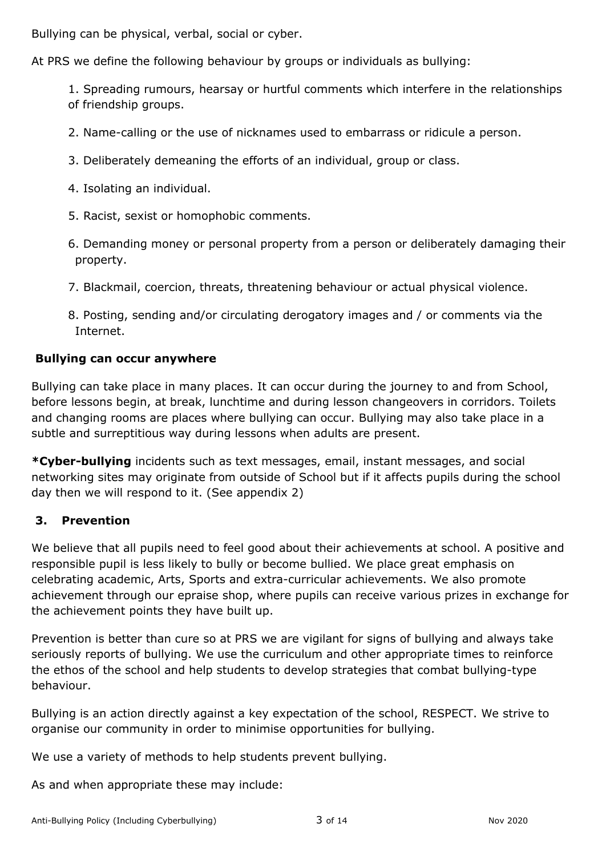Bullying can be physical, verbal, social or cyber.

At PRS we define the following behaviour by groups or individuals as bullying:

1. Spreading rumours, hearsay or hurtful comments which interfere in the relationships of friendship groups.

2. Name-calling or the use of nicknames used to embarrass or ridicule a person.

- 3. Deliberately demeaning the efforts of an individual, group or class.
- 4. Isolating an individual.
- 5. Racist, sexist or homophobic comments.

6. Demanding money or personal property from a person or deliberately damaging their property.

- 7. Blackmail, coercion, threats, threatening behaviour or actual physical violence.
- 8. Posting, sending and/or circulating derogatory images and / or comments via the Internet.

#### **Bullying can occur anywhere**

Bullying can take place in many places. It can occur during the journey to and from School, before lessons begin, at break, lunchtime and during lesson changeovers in corridors. Toilets and changing rooms are places where bullying can occur. Bullying may also take place in a subtle and surreptitious way during lessons when adults are present.

**\*Cyber-bullying** incidents such as text messages, email, instant messages, and social networking sites may originate from outside of School but if it affects pupils during the school day then we will respond to it. (See appendix 2)

#### **3. Prevention**

We believe that all pupils need to feel good about their achievements at school. A positive and responsible pupil is less likely to bully or become bullied. We place great emphasis on celebrating academic, Arts, Sports and extra-curricular achievements. We also promote achievement through our epraise shop, where pupils can receive various prizes in exchange for the achievement points they have built up.

Prevention is better than cure so at PRS we are vigilant for signs of bullying and always take seriously reports of bullying. We use the curriculum and other appropriate times to reinforce the ethos of the school and help students to develop strategies that combat bullying-type behaviour.

Bullying is an action directly against a key expectation of the school, RESPECT. We strive to organise our community in order to minimise opportunities for bullying.

We use a variety of methods to help students prevent bullying.

As and when appropriate these may include: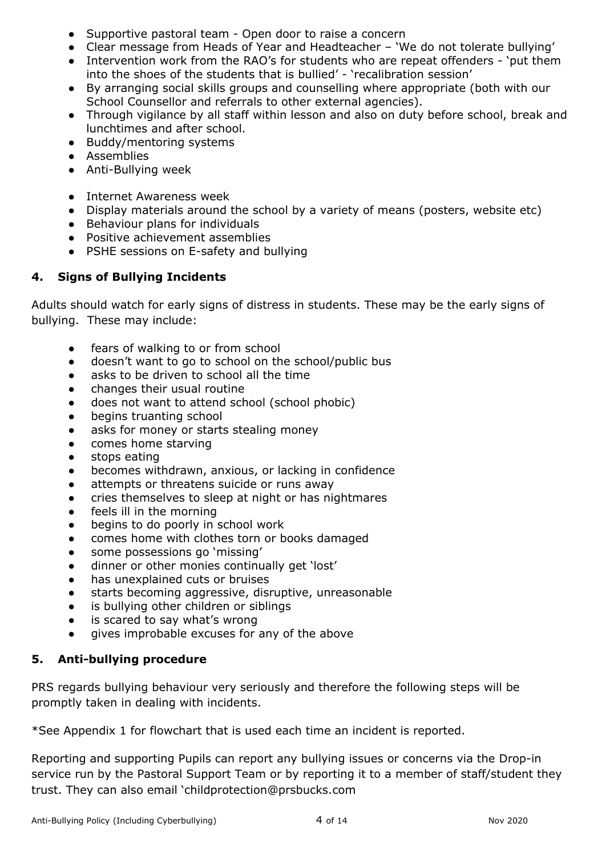- Supportive pastoral team Open door to raise a concern
- Clear message from Heads of Year and Headteacher 'We do not tolerate bullying'
- Intervention work from the RAO's for students who are repeat offenders 'put them into the shoes of the students that is bullied' - 'recalibration session'
- By arranging social skills groups and counselling where appropriate (both with our School Counsellor and referrals to other external agencies).
- Through vigilance by all staff within lesson and also on duty before school, break and lunchtimes and after school.
- Buddy/mentoring systems
- Assemblies
- Anti-Bullying week
- Internet Awareness week
- Display materials around the school by a variety of means (posters, website etc)
- Behaviour plans for individuals
- Positive achievement assemblies
- PSHE sessions on E-safety and bullying

# **4. Signs of Bullying Incidents**

Adults should watch for early signs of distress in students. These may be the early signs of bullying. These may include:

- fears of walking to or from school
- doesn't want to go to school on the school/public bus
- asks to be driven to school all the time
- changes their usual routine
- does not want to attend school (school phobic)
- begins truanting school
- asks for money or starts stealing money
- comes home starving
- stops eating
- becomes withdrawn, anxious, or lacking in confidence
- attempts or threatens suicide or runs away
- cries themselves to sleep at night or has nightmares
- feels ill in the morning
- begins to do poorly in school work
- comes home with clothes torn or books damaged
- some possessions go 'missing'
- dinner or other monies continually get 'lost'
- has unexplained cuts or bruises
- starts becoming aggressive, disruptive, unreasonable
- is bullying other children or siblings
- is scared to say what's wrong
- gives improbable excuses for any of the above

# **5. Anti-bullying procedure**

PRS regards bullying behaviour very seriously and therefore the following steps will be promptly taken in dealing with incidents.

\*See Appendix 1 for flowchart that is used each time an incident is reported.

Reporting and supporting Pupils can report any bullying issues or concerns via the Drop-in service run by the Pastoral Support Team or by reporting it to a member of staff/student they trust. They can also email 'childprotection@prsbucks.com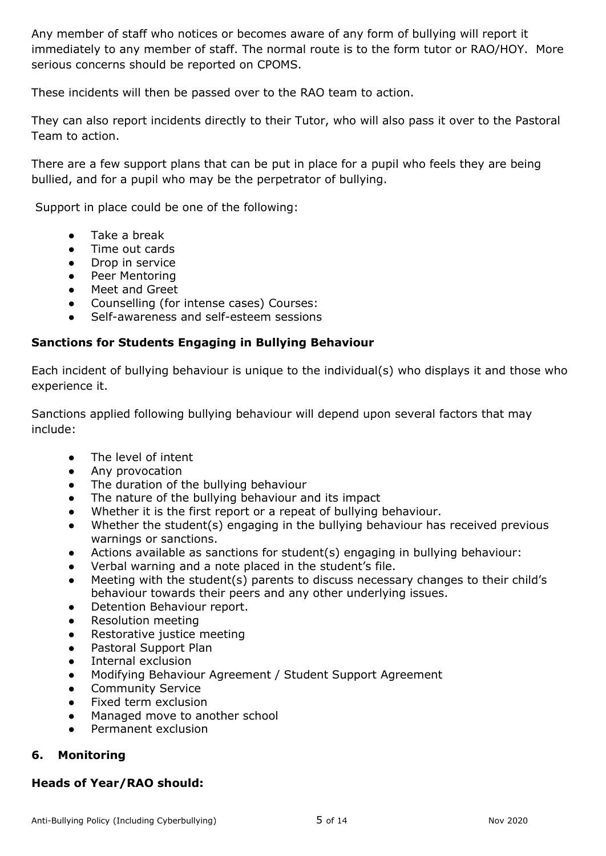Any member of staff who notices or becomes aware of any form of bullying will report it immediately to any member of staff. The normal route is to the form tutor or RAO/HOY. More serious concerns should be reported on CPOMS.

These incidents will then be passed over to the RAO team to action.

They can also report incidents directly to their Tutor, who will also pass it over to the Pastoral Team to action.

There are a few support plans that can be put in place for a pupil who feels they are being bullied, and for a pupil who may be the perpetrator of bullying.

Support in place could be one of the following:

- Take a break
- Time out cards
- Drop in service
- Peer Mentoring
- Meet and Greet
- Counselling (for intense cases) Courses:
- Self-awareness and self-esteem sessions

#### **Sanctions for Students Engaging in Bullying Behaviour**

Each incident of bullying behaviour is unique to the individual(s) who displays it and those who experience it.

Sanctions applied following bullying behaviour will depend upon several factors that may include:

- The level of intent
- Any provocation
- The duration of the bullying behaviour
- The nature of the bullying behaviour and its impact
- Whether it is the first report or a repeat of bullying behaviour.
- Whether the student(s) engaging in the bullying behaviour has received previous warnings or sanctions.
- Actions available as sanctions for student(s) engaging in bullying behaviour:
- Verbal warning and a note placed in the student's file.
- Meeting with the student(s) parents to discuss necessary changes to their child's behaviour towards their peers and any other underlying issues.
- Detention Behaviour report.
- **Resolution meeting**
- Restorative justice meeting
- Pastoral Support Plan
- Internal exclusion
- Modifying Behaviour Agreement / Student Support Agreement
- Community Service
- Fixed term exclusion
- Managed move to another school
- Permanent exclusion

#### **6. Monitoring**

#### **Heads of Year/RAO should:**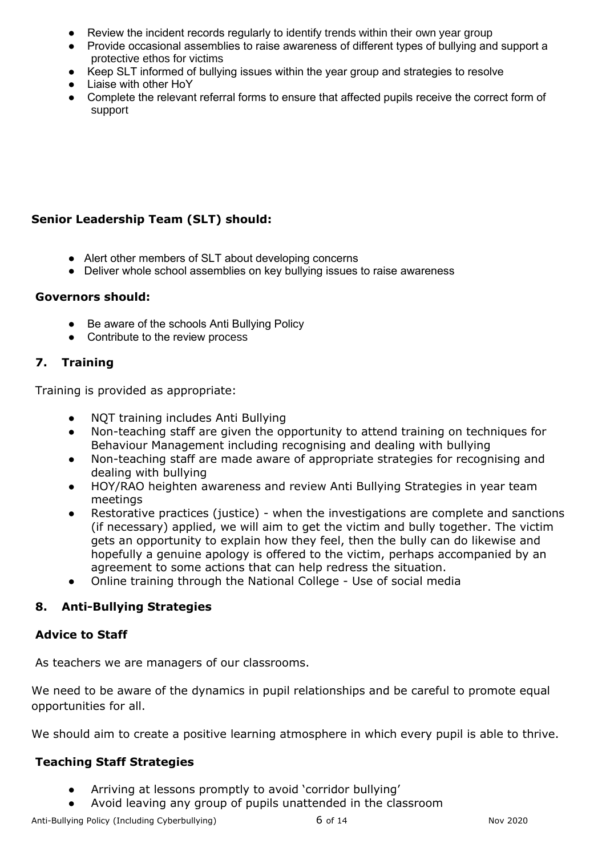- Review the incident records regularly to identify trends within their own year group
- Provide occasional assemblies to raise awareness of different types of bullying and support a protective ethos for victims
- Keep SLT informed of bullying issues within the year group and strategies to resolve
- Liaise with other HoY
- Complete the relevant referral forms to ensure that affected pupils receive the correct form of support

## **Senior Leadership Team (SLT) should:**

- Alert other members of SLT about developing concerns
- Deliver whole school assemblies on key bullying issues to raise awareness

#### **Governors should:**

- Be aware of the schools Anti Bullying Policy
- Contribute to the review process

### **7. Training**

Training is provided as appropriate:

- NQT training includes Anti Bullying
- Non-teaching staff are given the opportunity to attend training on techniques for Behaviour Management including recognising and dealing with bullying
- Non-teaching staff are made aware of appropriate strategies for recognising and dealing with bullying
- HOY/RAO heighten awareness and review Anti Bullying Strategies in year team meetings
- Restorative practices (justice) when the investigations are complete and sanctions (if necessary) applied, we will aim to get the victim and bully together. The victim gets an opportunity to explain how they feel, then the bully can do likewise and hopefully a genuine apology is offered to the victim, perhaps accompanied by an agreement to some actions that can help redress the situation.
- Online training through the National College Use of social media

#### **8. Anti-Bullying Strategies**

#### **Advice to Staff**

As teachers we are managers of our classrooms.

We need to be aware of the dynamics in pupil relationships and be careful to promote equal opportunities for all.

We should aim to create a positive learning atmosphere in which every pupil is able to thrive.

#### **Teaching Staff Strategies**

- Arriving at lessons promptly to avoid 'corridor bullying'
- Avoid leaving any group of pupils unattended in the classroom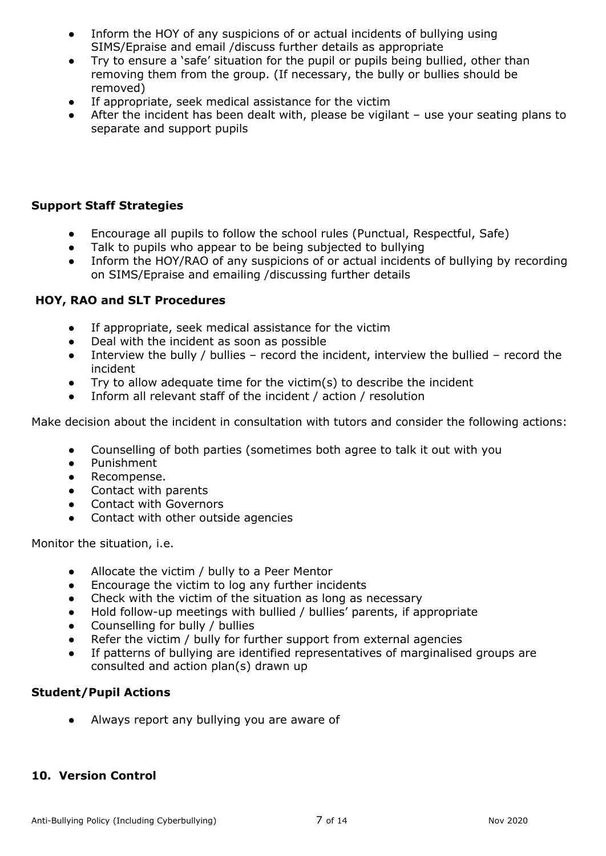- Inform the HOY of any suspicions of or actual incidents of bullying using SIMS/Epraise and email /discuss further details as appropriate
- Try to ensure a 'safe' situation for the pupil or pupils being bullied, other than removing them from the group. (If necessary, the bully or bullies should be removed)
- If appropriate, seek medical assistance for the victim
- After the incident has been dealt with, please be vigilant  $-$  use your seating plans to separate and support pupils

## **Support Staff Strategies**

- Encourage all pupils to follow the school rules (Punctual, Respectful, Safe)
- Talk to pupils who appear to be being subjected to bullying
- Inform the HOY/RAO of any suspicions of or actual incidents of bullying by recording on SIMS/Epraise and emailing /discussing further details

#### **HOY, RAO and SLT Procedures**

- If appropriate, seek medical assistance for the victim
- Deal with the incident as soon as possible
- Interview the bully / bullies record the incident, interview the bullied record the incident
- Try to allow adequate time for the victim(s) to describe the incident
- Inform all relevant staff of the incident / action / resolution

Make decision about the incident in consultation with tutors and consider the following actions:

- Counselling of both parties (sometimes both agree to talk it out with you
- Punishment
- Recompense.
- Contact with parents
- Contact with Governors
- Contact with other outside agencies

Monitor the situation, i.e.

- Allocate the victim / bully to a Peer Mentor
- Encourage the victim to log any further incidents
- Check with the victim of the situation as long as necessary
- Hold follow-up meetings with bullied / bullies' parents, if appropriate
- Counselling for bully / bullies
- Refer the victim / bully for further support from external agencies
- If patterns of bullying are identified representatives of marginalised groups are consulted and action plan(s) drawn up

# **Student/Pupil Actions**

● Always report any bullying you are aware of

#### **10. Version Control**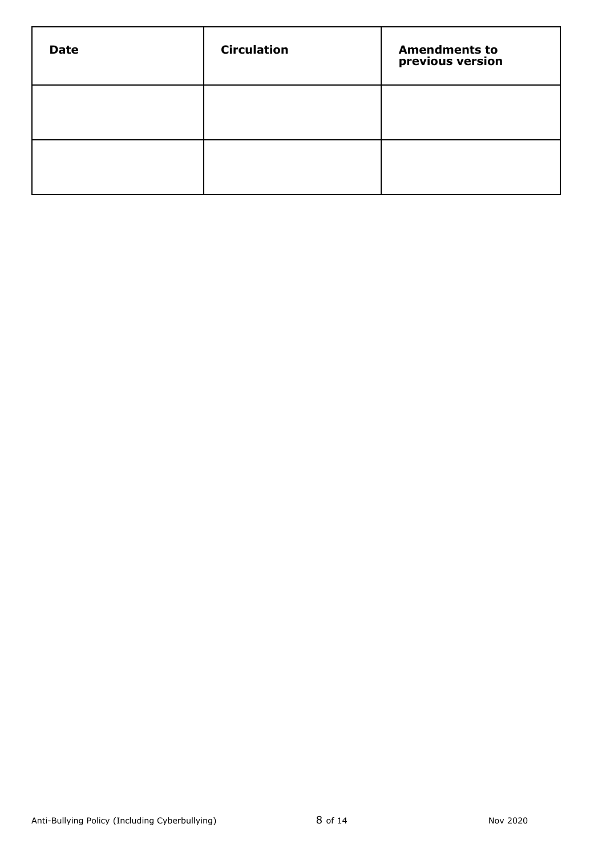| <b>Date</b> | <b>Circulation</b> | <b>Amendments to</b><br>previous version |
|-------------|--------------------|------------------------------------------|
|             |                    |                                          |
|             |                    |                                          |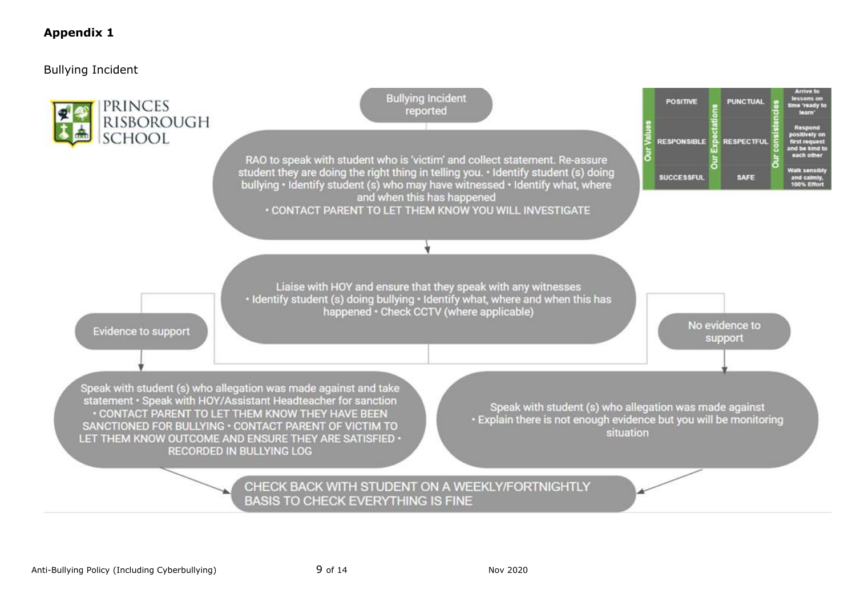### **Appendix 1**

Bullying Incident

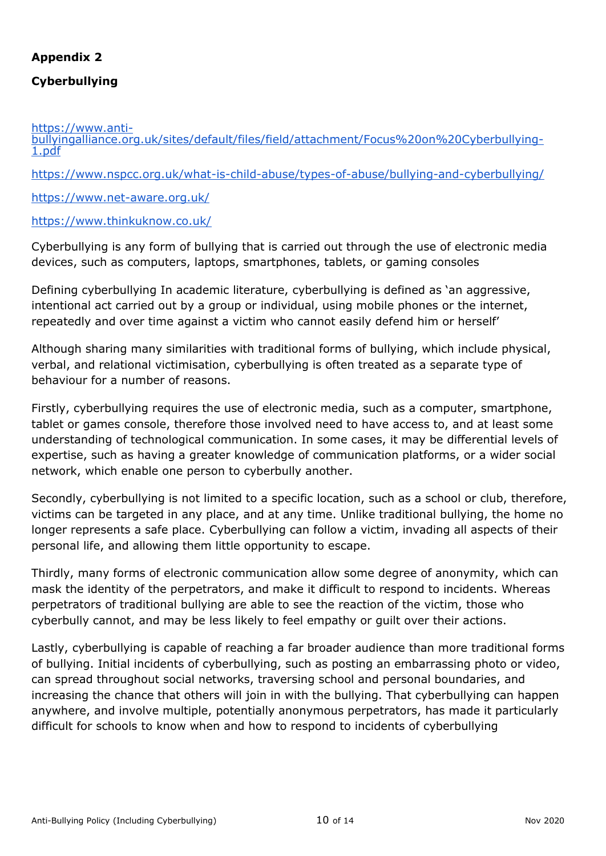# **Appendix 2**

# **Cyberbullying**

[https://www.anti-](https://www.anti-bullyingalliance.org.uk/sites/default/files/field/attachment/Focus%20on%20Cyberbullying-1.pdf)

[bullyingalliance.org.uk/sites/default/files/field/attachment/Focus%20on%20Cyberbullying-](https://www.anti-bullyingalliance.org.uk/sites/default/files/field/attachment/Focus%20on%20Cyberbullying-1.pdf)[1.pdf](https://www.anti-bullyingalliance.org.uk/sites/default/files/field/attachment/Focus%20on%20Cyberbullying-1.pdf)

<https://www.nspcc.org.uk/what-is-child-abuse/types-of-abuse/bullying-and-cyberbullying/>

<https://www.net-aware.org.uk/>

#### <https://www.thinkuknow.co.uk/>

Cyberbullying is any form of bullying that is carried out through the use of electronic media devices, such as computers, laptops, smartphones, tablets, or gaming consoles

Defining cyberbullying In academic literature, cyberbullying is defined as 'an aggressive, intentional act carried out by a group or individual, using mobile phones or the internet, repeatedly and over time against a victim who cannot easily defend him or herself'

Although sharing many similarities with traditional forms of bullying, which include physical, verbal, and relational victimisation, cyberbullying is often treated as a separate type of behaviour for a number of reasons.

Firstly, cyberbullying requires the use of electronic media, such as a computer, smartphone, tablet or games console, therefore those involved need to have access to, and at least some understanding of technological communication. In some cases, it may be differential levels of expertise, such as having a greater knowledge of communication platforms, or a wider social network, which enable one person to cyberbully another.

Secondly, cyberbullying is not limited to a specific location, such as a school or club, therefore, victims can be targeted in any place, and at any time. Unlike traditional bullying, the home no longer represents a safe place. Cyberbullying can follow a victim, invading all aspects of their personal life, and allowing them little opportunity to escape.

Thirdly, many forms of electronic communication allow some degree of anonymity, which can mask the identity of the perpetrators, and make it difficult to respond to incidents. Whereas perpetrators of traditional bullying are able to see the reaction of the victim, those who cyberbully cannot, and may be less likely to feel empathy or guilt over their actions.

Lastly, cyberbullying is capable of reaching a far broader audience than more traditional forms of bullying. Initial incidents of cyberbullying, such as posting an embarrassing photo or video, can spread throughout social networks, traversing school and personal boundaries, and increasing the chance that others will join in with the bullying. That cyberbullying can happen anywhere, and involve multiple, potentially anonymous perpetrators, has made it particularly difficult for schools to know when and how to respond to incidents of cyberbullying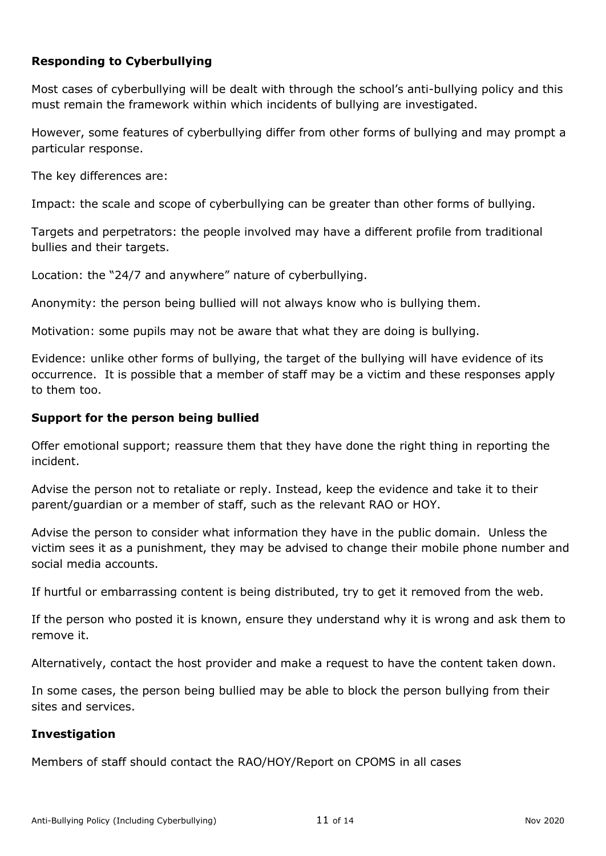# **Responding to Cyberbullying**

Most cases of cyberbullying will be dealt with through the school's anti-bullying policy and this must remain the framework within which incidents of bullying are investigated.

However, some features of cyberbullying differ from other forms of bullying and may prompt a particular response.

The key differences are:

Impact: the scale and scope of cyberbullying can be greater than other forms of bullying.

Targets and perpetrators: the people involved may have a different profile from traditional bullies and their targets.

Location: the "24/7 and anywhere" nature of cyberbullying.

Anonymity: the person being bullied will not always know who is bullying them.

Motivation: some pupils may not be aware that what they are doing is bullying.

Evidence: unlike other forms of bullying, the target of the bullying will have evidence of its occurrence. It is possible that a member of staff may be a victim and these responses apply to them too.

### **Support for the person being bullied**

Offer emotional support; reassure them that they have done the right thing in reporting the incident.

Advise the person not to retaliate or reply. Instead, keep the evidence and take it to their parent/guardian or a member of staff, such as the relevant RAO or HOY.

Advise the person to consider what information they have in the public domain. Unless the victim sees it as a punishment, they may be advised to change their mobile phone number and social media accounts.

If hurtful or embarrassing content is being distributed, try to get it removed from the web.

If the person who posted it is known, ensure they understand why it is wrong and ask them to remove it.

Alternatively, contact the host provider and make a request to have the content taken down.

In some cases, the person being bullied may be able to block the person bullying from their sites and services.

# **Investigation**

Members of staff should contact the RAO/HOY/Report on CPOMS in all cases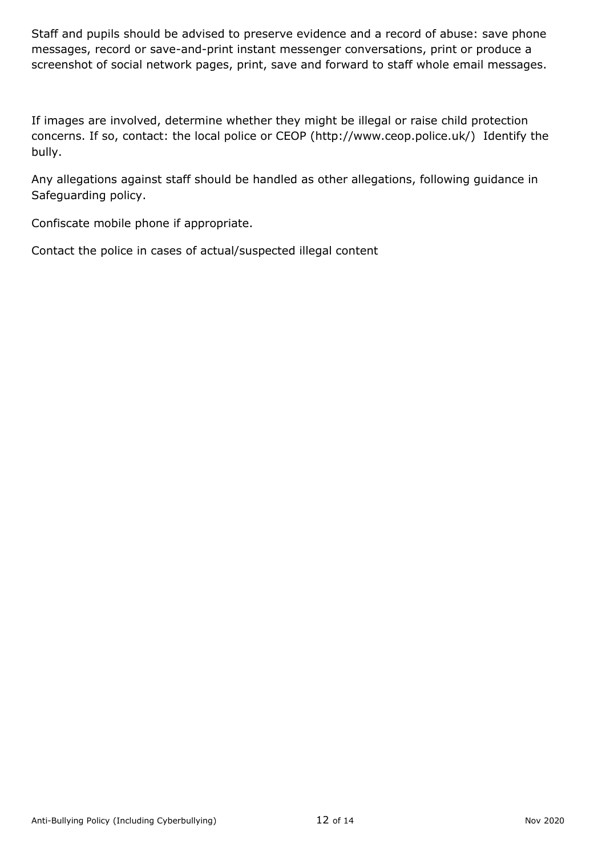Staff and pupils should be advised to preserve evidence and a record of abuse: save phone messages, record or save-and-print instant messenger conversations, print or produce a screenshot of social network pages, print, save and forward to staff whole email messages.

If images are involved, determine whether they might be illegal or raise child protection concerns. If so, contact: the local police or CEOP (http://www.ceop.police.uk/) Identify the bully.

Any allegations against staff should be handled as other allegations, following guidance in Safeguarding policy.

Confiscate mobile phone if appropriate.

Contact the police in cases of actual/suspected illegal content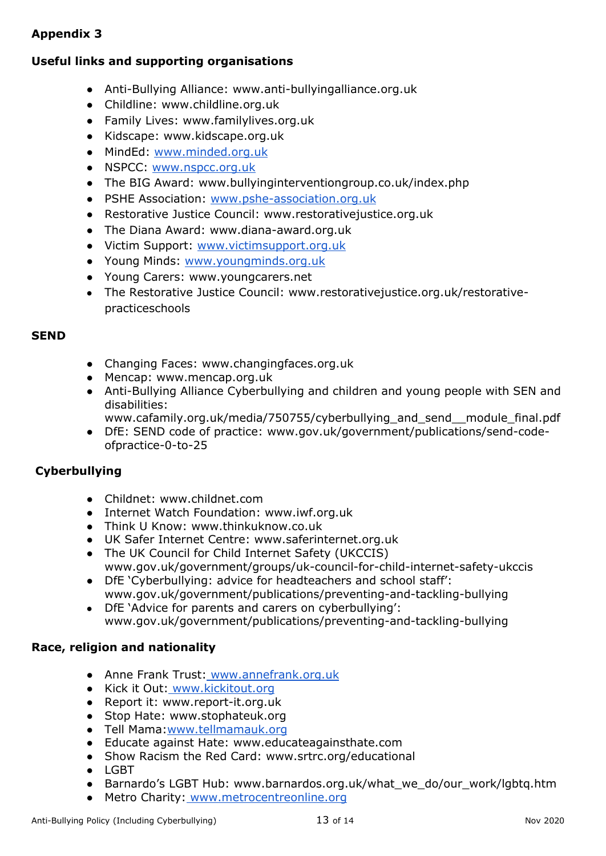# **Appendix 3**

# **Useful links and supporting organisations**

- Anti-Bullying Alliance: www.anti-bullyingalliance.org.uk
- Childline: www.childline.org.uk
- Family Lives: www.familylives.org.uk
- Kidscape: www.kidscape.org.uk
- MindEd: [www.minded.org.uk](http://www.minded.org.uk/)
- NSPCC[:](http://www.nspcc.org.uk/) [www.nspcc.org.uk](http://www.nspcc.org.uk/)
- The BIG Award: www.bullyinginterventiongroup.co.uk/index.php
- PSHE Association[:](http://www.pshe-association.org.uk/) [www.pshe-association.org.uk](http://www.pshe-association.org.uk/)
- Restorative Justice Council: www.restorativejustice.org.uk
- The Diana Award: www.diana-award.org.uk
- Victim Support[:](http://www.victimsupport.org.uk/) [www.victimsupport.org.uk](http://www.victimsupport.org.uk/)
- Young Minds: [www.youngminds.org.uk](http://www.youngminds.org.uk/)
- Young Carers: www.youngcarers.net
- The Restorative Justice Council: www.restorativejustice.org.uk/restorativepracticeschools

#### **SEND**

- Changing Faces: www.changingfaces.org.uk
- Mencap: www.mencap.org.uk
- Anti-Bullying Alliance Cyberbullying and children and young people with SEN and disabilities:
	- www.cafamily.org.uk/media/750755/cyberbullying\_and\_send\_\_module\_final.pdf
- DfE: SEND code of practice: www.gov.uk/government/publications/send-codeofpractice-0-to-25

#### **Cyberbullying**

- Childnet: www.childnet.com
- Internet Watch Foundation: www.iwf.org.uk
- Think U Know: www.thinkuknow.co.uk
- UK Safer Internet Centre: www.saferinternet.org.uk
- The UK Council for Child Internet Safety (UKCCIS) www.gov.uk/government/groups/uk-council-for-child-internet-safety-ukccis
- DfE 'Cyberbullying: advice for headteachers and school staff': www.gov.uk/government/publications/preventing-and-tackling-bullying
- DfE 'Advice for parents and carers on cyberbullying': www.gov.uk/government/publications/preventing-and-tackling-bullying

#### **Race, religion and nationality**

- Anne Frank Trust: [www.annefrank.org.uk](http://www.annefrank.org.uk/)
- Kick it Out: [www.kickitout.org](http://www.kickitout.org/)
- Report it: www.report-it.org.uk
- Stop Hate: www.stophateuk.org
- Tell Mama[:www.tellmamauk.org](http://www.tellmamauk.org/)
- Educate against Hate: www.educateagainsthate.com
- Show Racism the Red Card: www.srtrc.org/educational
- LGBT
- Barnardo's LGBT Hub: www.barnardos.org.uk/what\_we\_do/our\_work/lgbtq.htm
- Metro Charity: [www.metrocentreonline.org](http://www.metrocentreonline.org/)